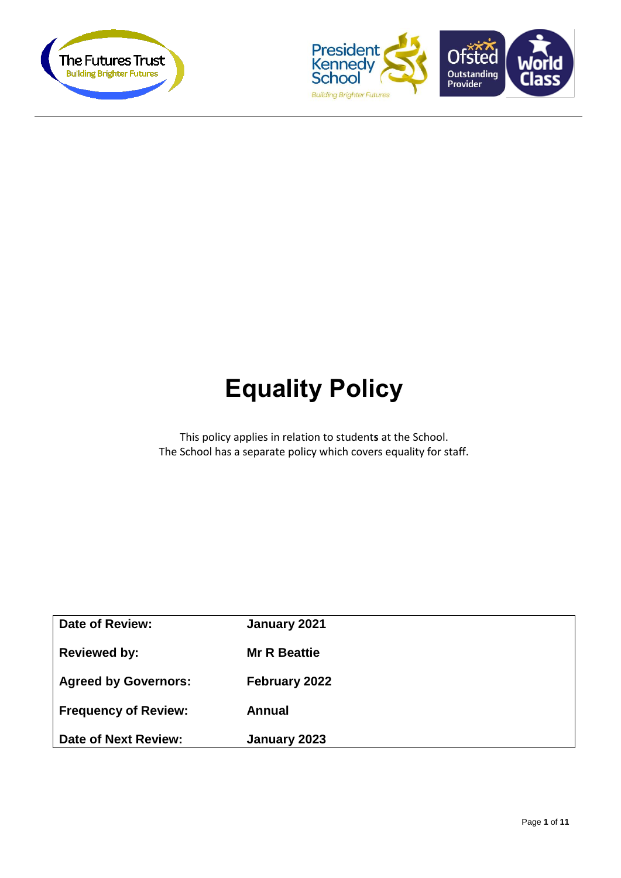



# **Equality Policy**

This policy applies in relation to student**s** at the School. The School has a separate policy which covers equality for staff.

| <b>Date of Review:</b>      | January 2021        |
|-----------------------------|---------------------|
| <b>Reviewed by:</b>         | <b>Mr R Beattie</b> |
| <b>Agreed by Governors:</b> | February 2022       |
| <b>Frequency of Review:</b> | Annual              |
| Date of Next Review:        | January 2023        |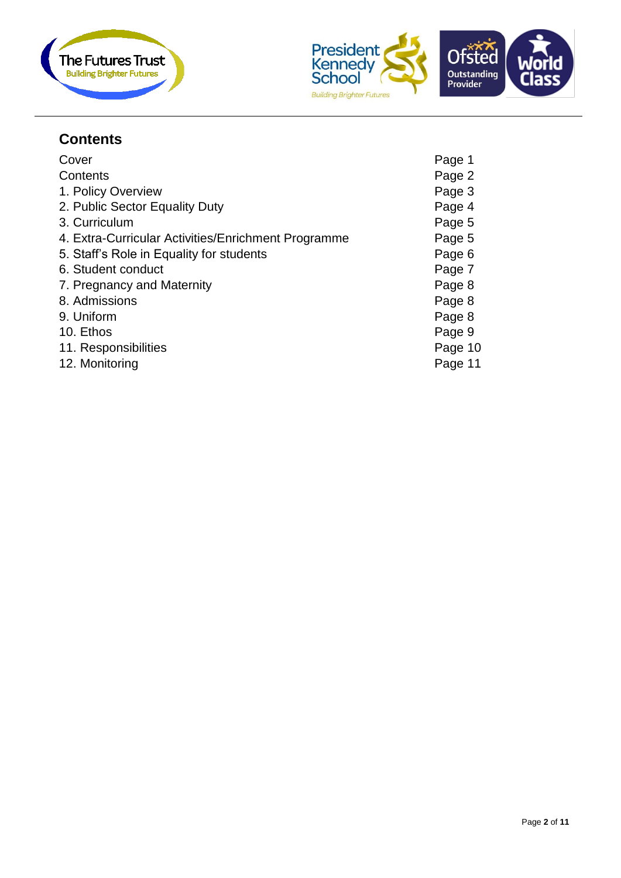



## **Contents**

| Cover                                               | Page 1  |
|-----------------------------------------------------|---------|
| Contents                                            | Page 2  |
| 1. Policy Overview                                  | Page 3  |
| 2. Public Sector Equality Duty                      | Page 4  |
| 3. Curriculum                                       | Page 5  |
| 4. Extra-Curricular Activities/Enrichment Programme | Page 5  |
| 5. Staff's Role in Equality for students            | Page 6  |
| 6. Student conduct                                  | Page 7  |
| 7. Pregnancy and Maternity                          | Page 8  |
| 8. Admissions                                       | Page 8  |
| 9. Uniform                                          | Page 8  |
| 10. Ethos                                           | Page 9  |
| 11. Responsibilities                                | Page 10 |
| 12. Monitoring                                      | Page 11 |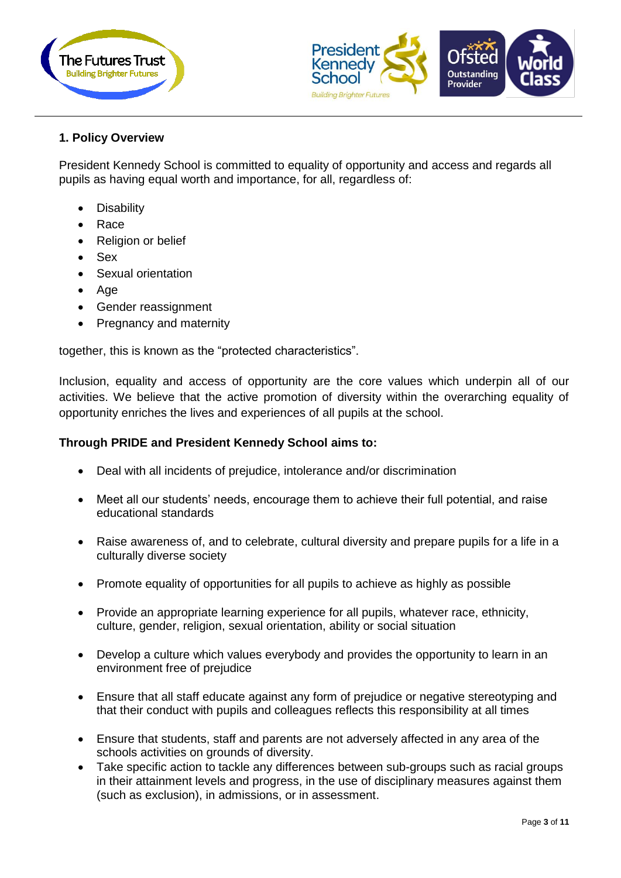



#### **1. Policy Overview**

President Kennedy School is committed to equality of opportunity and access and regards all pupils as having equal worth and importance, for all, regardless of:

- **Disability**
- Race
- Religion or belief
- Sex
- Sexual orientation
- Age
- Gender reassignment
- Pregnancy and maternity

together, this is known as the "protected characteristics".

Inclusion, equality and access of opportunity are the core values which underpin all of our activities. We believe that the active promotion of diversity within the overarching equality of opportunity enriches the lives and experiences of all pupils at the school.

#### **Through PRIDE and President Kennedy School aims to:**

- Deal with all incidents of prejudice, intolerance and/or discrimination
- Meet all our students' needs, encourage them to achieve their full potential, and raise educational standards
- Raise awareness of, and to celebrate, cultural diversity and prepare pupils for a life in a culturally diverse society
- Promote equality of opportunities for all pupils to achieve as highly as possible
- Provide an appropriate learning experience for all pupils, whatever race, ethnicity, culture, gender, religion, sexual orientation, ability or social situation
- Develop a culture which values everybody and provides the opportunity to learn in an environment free of prejudice
- Ensure that all staff educate against any form of prejudice or negative stereotyping and that their conduct with pupils and colleagues reflects this responsibility at all times
- Ensure that students, staff and parents are not adversely affected in any area of the schools activities on grounds of diversity.
- Take specific action to tackle any differences between sub-groups such as racial groups in their attainment levels and progress, in the use of disciplinary measures against them (such as exclusion), in admissions, or in assessment.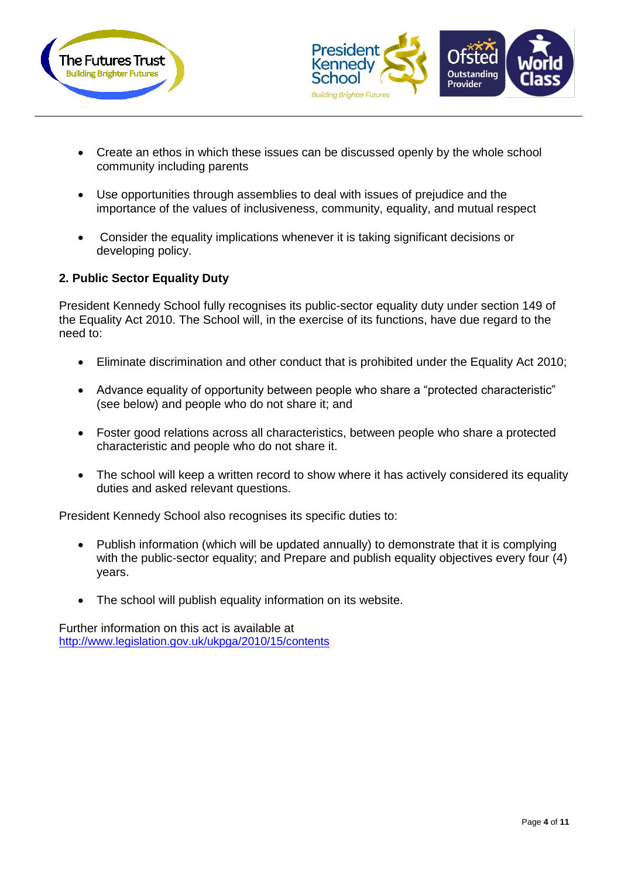



- Create an ethos in which these issues can be discussed openly by the whole school community including parents
- Use opportunities through assemblies to deal with issues of prejudice and the importance of the values of inclusiveness, community, equality, and mutual respect
- Consider the equality implications whenever it is taking significant decisions or developing policy.

## **2. Public Sector Equality Duty**

President Kennedy School fully recognises its public-sector equality duty under section 149 of the Equality Act 2010. The School will, in the exercise of its functions, have due regard to the need to:

- Eliminate discrimination and other conduct that is prohibited under the Equality Act 2010:
- Advance equality of opportunity between people who share a "protected characteristic" (see below) and people who do not share it; and
- Foster good relations across all characteristics, between people who share a protected characteristic and people who do not share it.
- The school will keep a written record to show where it has actively considered its equality duties and asked relevant questions.

President Kennedy School also recognises its specific duties to:

- Publish information (which will be updated annually) to demonstrate that it is complying with the public-sector equality; and Prepare and publish equality objectives every four (4) years.
- The school will publish equality information on its website.

Further information on this act is available at <http://www.legislation.gov.uk/ukpga/2010/15/contents>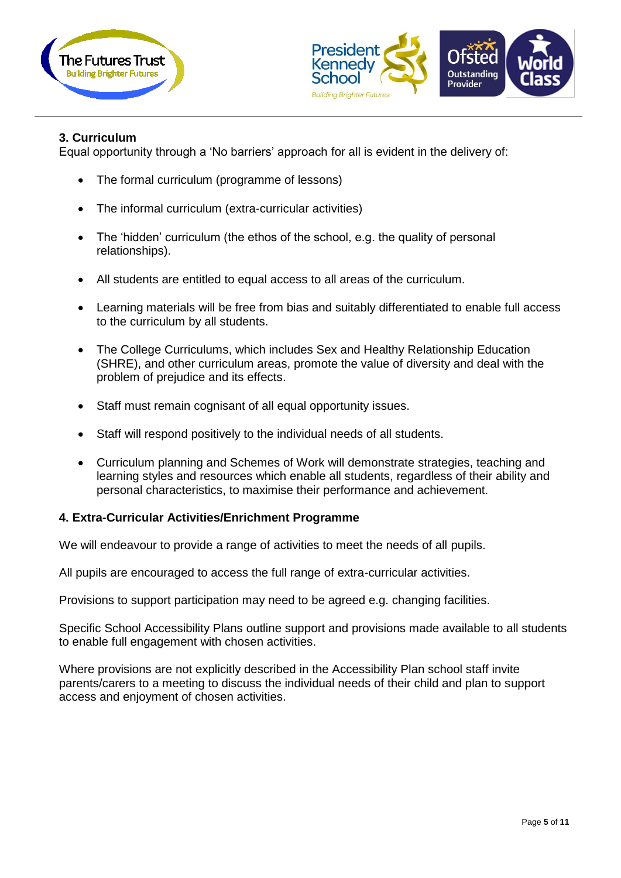



#### **3. Curriculum**

Equal opportunity through a 'No barriers' approach for all is evident in the delivery of:

- The formal curriculum (programme of lessons)
- The informal curriculum (extra-curricular activities)
- The 'hidden' curriculum (the ethos of the school, e.g. the quality of personal relationships).
- All students are entitled to equal access to all areas of the curriculum.
- Learning materials will be free from bias and suitably differentiated to enable full access to the curriculum by all students.
- The College Curriculums, which includes Sex and Healthy Relationship Education (SHRE), and other curriculum areas, promote the value of diversity and deal with the problem of prejudice and its effects.
- Staff must remain cognisant of all equal opportunity issues.
- Staff will respond positively to the individual needs of all students.
- Curriculum planning and Schemes of Work will demonstrate strategies, teaching and learning styles and resources which enable all students, regardless of their ability and personal characteristics, to maximise their performance and achievement.

#### **4. Extra-Curricular Activities/Enrichment Programme**

We will endeavour to provide a range of activities to meet the needs of all pupils.

All pupils are encouraged to access the full range of extra-curricular activities.

Provisions to support participation may need to be agreed e.g. changing facilities.

Specific School Accessibility Plans outline support and provisions made available to all students to enable full engagement with chosen activities.

Where provisions are not explicitly described in the Accessibility Plan school staff invite parents/carers to a meeting to discuss the individual needs of their child and plan to support access and enjoyment of chosen activities.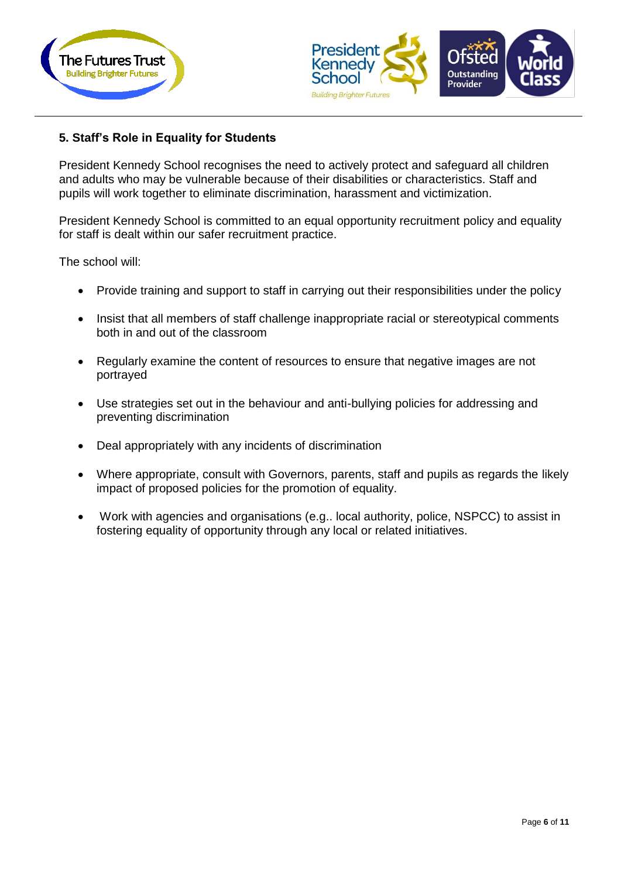



### **5. Staff's Role in Equality for Students**

President Kennedy School recognises the need to actively protect and safeguard all children and adults who may be vulnerable because of their disabilities or characteristics. Staff and pupils will work together to eliminate discrimination, harassment and victimization.

President Kennedy School is committed to an equal opportunity recruitment policy and equality for staff is dealt within our safer recruitment practice.

The school will:

- Provide training and support to staff in carrying out their responsibilities under the policy
- Insist that all members of staff challenge inappropriate racial or stereotypical comments both in and out of the classroom
- Regularly examine the content of resources to ensure that negative images are not portrayed
- Use strategies set out in the behaviour and anti-bullying policies for addressing and preventing discrimination
- Deal appropriately with any incidents of discrimination
- Where appropriate, consult with Governors, parents, staff and pupils as regards the likely impact of proposed policies for the promotion of equality.
- Work with agencies and organisations (e.g.. local authority, police, NSPCC) to assist in fostering equality of opportunity through any local or related initiatives.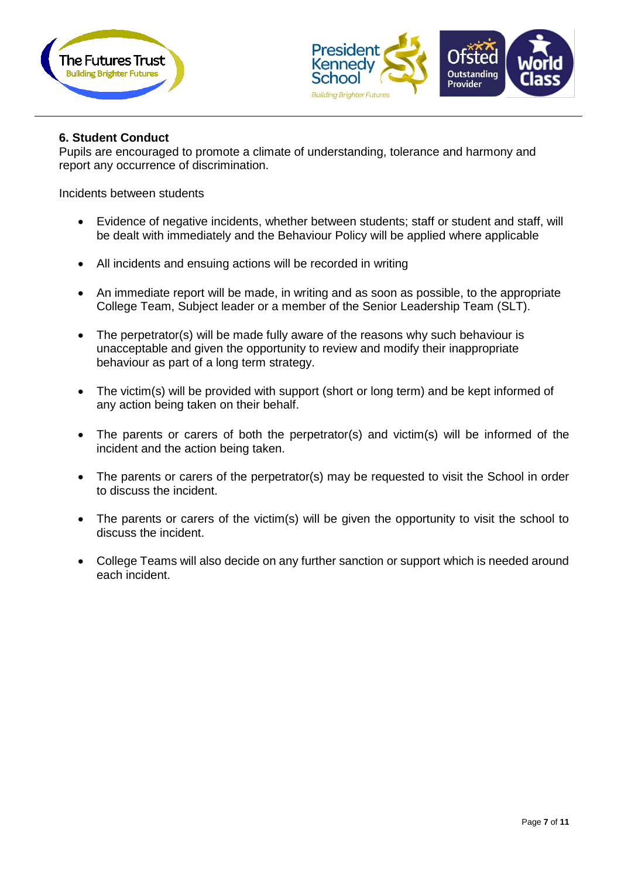



#### **6. Student Conduct**

Pupils are encouraged to promote a climate of understanding, tolerance and harmony and report any occurrence of discrimination.

Incidents between students

- Evidence of negative incidents, whether between students; staff or student and staff, will be dealt with immediately and the Behaviour Policy will be applied where applicable
- All incidents and ensuing actions will be recorded in writing
- An immediate report will be made, in writing and as soon as possible, to the appropriate College Team, Subject leader or a member of the Senior Leadership Team (SLT).
- The perpetrator(s) will be made fully aware of the reasons why such behaviour is unacceptable and given the opportunity to review and modify their inappropriate behaviour as part of a long term strategy.
- The victim(s) will be provided with support (short or long term) and be kept informed of any action being taken on their behalf.
- The parents or carers of both the perpetrator(s) and victim(s) will be informed of the incident and the action being taken.
- The parents or carers of the perpetrator(s) may be requested to visit the School in order to discuss the incident.
- The parents or carers of the victim(s) will be given the opportunity to visit the school to discuss the incident.
- College Teams will also decide on any further sanction or support which is needed around each incident.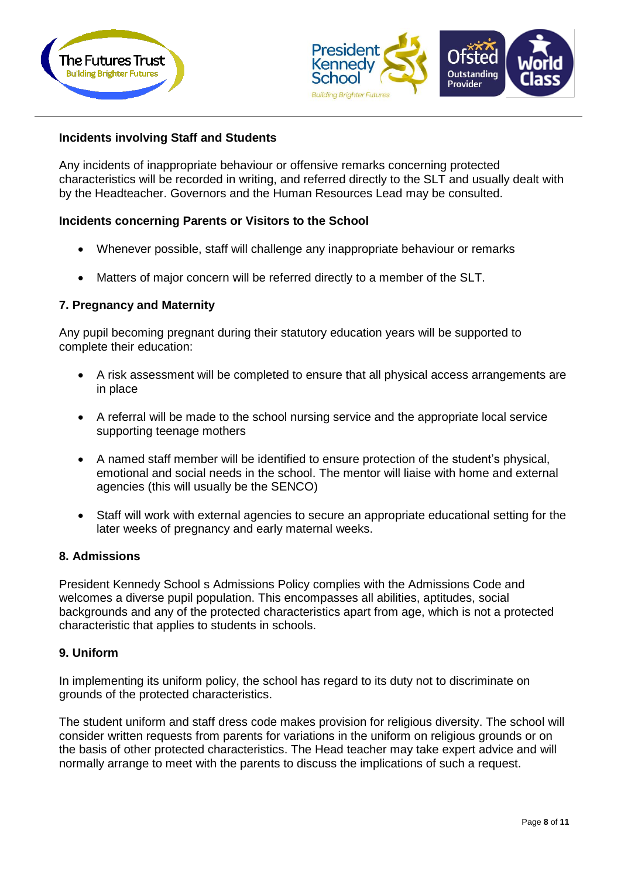



#### **Incidents involving Staff and Students**

Any incidents of inappropriate behaviour or offensive remarks concerning protected characteristics will be recorded in writing, and referred directly to the SLT and usually dealt with by the Headteacher. Governors and the Human Resources Lead may be consulted.

#### **Incidents concerning Parents or Visitors to the School**

- Whenever possible, staff will challenge any inappropriate behaviour or remarks
- Matters of major concern will be referred directly to a member of the SLT.

#### **7. Pregnancy and Maternity**

Any pupil becoming pregnant during their statutory education years will be supported to complete their education:

- A risk assessment will be completed to ensure that all physical access arrangements are in place
- A referral will be made to the school nursing service and the appropriate local service supporting teenage mothers
- A named staff member will be identified to ensure protection of the student's physical, emotional and social needs in the school. The mentor will liaise with home and external agencies (this will usually be the SENCO)
- Staff will work with external agencies to secure an appropriate educational setting for the later weeks of pregnancy and early maternal weeks.

#### **8. Admissions**

President Kennedy School s Admissions Policy complies with the Admissions Code and welcomes a diverse pupil population. This encompasses all abilities, aptitudes, social backgrounds and any of the protected characteristics apart from age, which is not a protected characteristic that applies to students in schools.

#### **9. Uniform**

In implementing its uniform policy, the school has regard to its duty not to discriminate on grounds of the protected characteristics.

The student uniform and staff dress code makes provision for religious diversity. The school will consider written requests from parents for variations in the uniform on religious grounds or on the basis of other protected characteristics. The Head teacher may take expert advice and will normally arrange to meet with the parents to discuss the implications of such a request.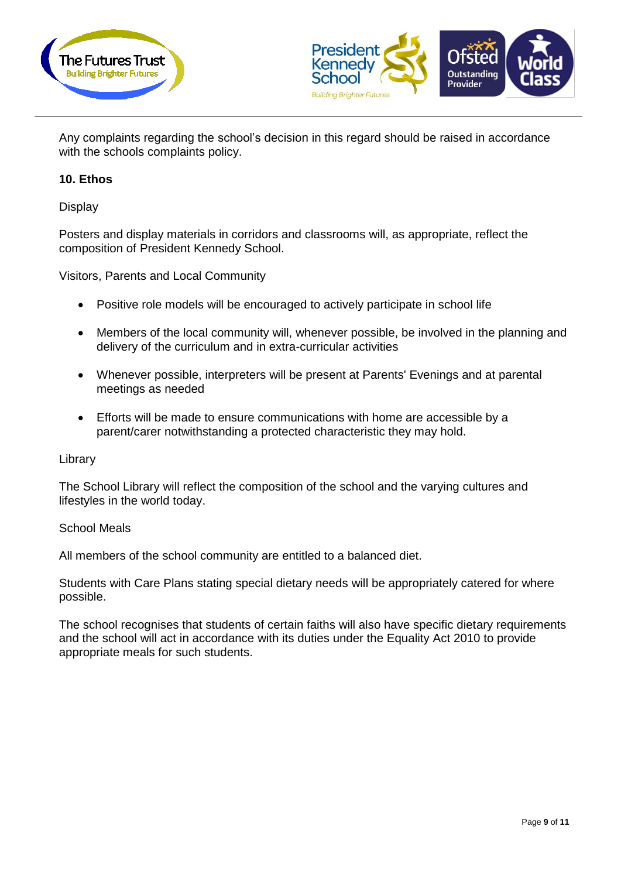



Any complaints regarding the school's decision in this regard should be raised in accordance with the schools complaints policy.

#### **10. Ethos**

**Display** 

Posters and display materials in corridors and classrooms will, as appropriate, reflect the composition of President Kennedy School.

Visitors, Parents and Local Community

- Positive role models will be encouraged to actively participate in school life
- Members of the local community will, whenever possible, be involved in the planning and delivery of the curriculum and in extra-curricular activities
- Whenever possible, interpreters will be present at Parents' Evenings and at parental meetings as needed
- Efforts will be made to ensure communications with home are accessible by a parent/carer notwithstanding a protected characteristic they may hold.

#### Library

The School Library will reflect the composition of the school and the varying cultures and lifestyles in the world today.

#### School Meals

All members of the school community are entitled to a balanced diet.

Students with Care Plans stating special dietary needs will be appropriately catered for where possible.

The school recognises that students of certain faiths will also have specific dietary requirements and the school will act in accordance with its duties under the Equality Act 2010 to provide appropriate meals for such students.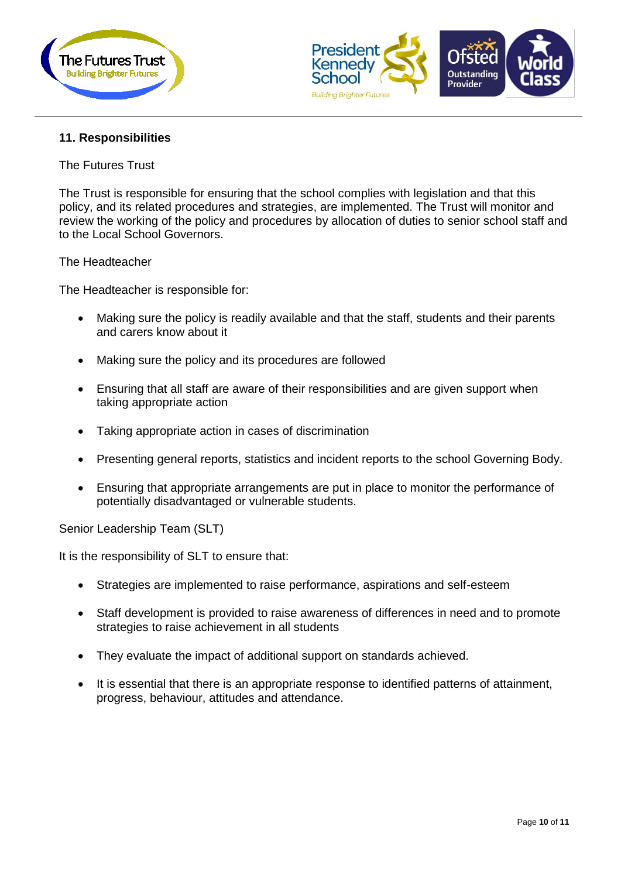



#### **11. Responsibilities**

The Futures Trust

The Trust is responsible for ensuring that the school complies with legislation and that this policy, and its related procedures and strategies, are implemented. The Trust will monitor and review the working of the policy and procedures by allocation of duties to senior school staff and to the Local School Governors.

The Headteacher

The Headteacher is responsible for:

- Making sure the policy is readily available and that the staff, students and their parents and carers know about it
- Making sure the policy and its procedures are followed
- Ensuring that all staff are aware of their responsibilities and are given support when taking appropriate action
- Taking appropriate action in cases of discrimination
- Presenting general reports, statistics and incident reports to the school Governing Body.
- Ensuring that appropriate arrangements are put in place to monitor the performance of potentially disadvantaged or vulnerable students.

Senior Leadership Team (SLT)

It is the responsibility of SLT to ensure that:

- Strategies are implemented to raise performance, aspirations and self-esteem
- Staff development is provided to raise awareness of differences in need and to promote strategies to raise achievement in all students
- They evaluate the impact of additional support on standards achieved.
- It is essential that there is an appropriate response to identified patterns of attainment, progress, behaviour, attitudes and attendance.